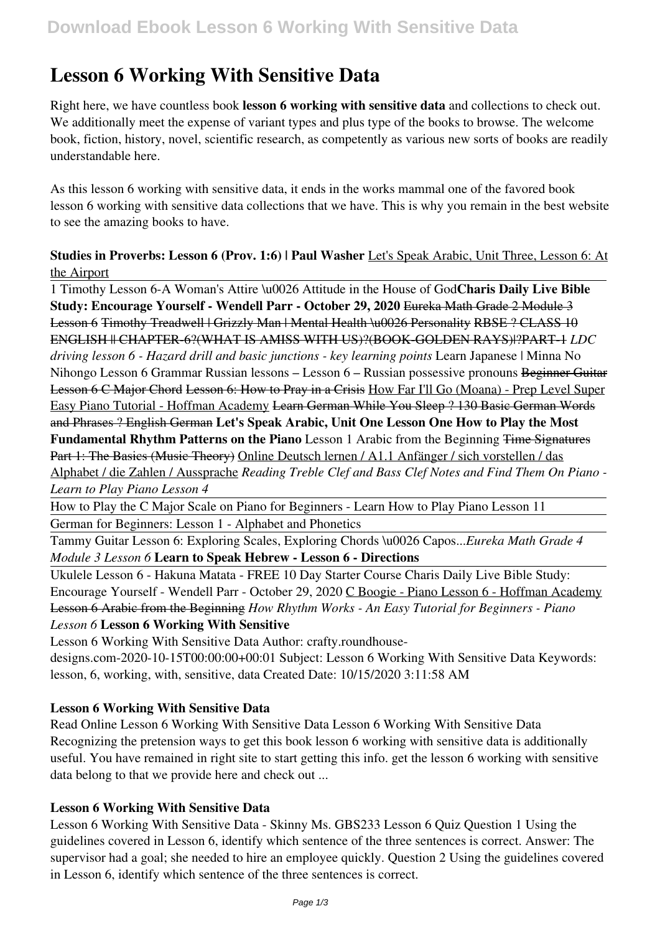# **Lesson 6 Working With Sensitive Data**

Right here, we have countless book **lesson 6 working with sensitive data** and collections to check out. We additionally meet the expense of variant types and plus type of the books to browse. The welcome book, fiction, history, novel, scientific research, as competently as various new sorts of books are readily understandable here.

As this lesson 6 working with sensitive data, it ends in the works mammal one of the favored book lesson 6 working with sensitive data collections that we have. This is why you remain in the best website to see the amazing books to have.

# **Studies in Proverbs: Lesson 6 (Prov. 1:6) | Paul Washer** Let's Speak Arabic, Unit Three, Lesson 6: At the Airport

1 Timothy Lesson 6-A Woman's Attire \u0026 Attitude in the House of God**Charis Daily Live Bible Study: Encourage Yourself - Wendell Parr - October 29, 2020** Eureka Math Grade 2 Module 3 Lesson 6 Timothy Treadwell | Grizzly Man | Mental Health \u0026 Personality RBSE ? CLASS 10 ENGLISH || CHAPTER-6?(WHAT IS AMISS WITH US)?(BOOK-GOLDEN RAYS)|?PART-1 *LDC driving lesson 6 - Hazard drill and basic junctions - key learning points* Learn Japanese | Minna No Nihongo Lesson 6 Grammar Russian lessons – Lesson 6 – Russian possessive pronouns Beginner Guitar Lesson 6 C Major Chord Lesson 6: How to Pray in a Crisis How Far I'll Go (Moana) - Prep Level Super Easy Piano Tutorial - Hoffman Academy Learn German While You Sleep ? 130 Basic German Words and Phrases ? English German **Let's Speak Arabic, Unit One Lesson One How to Play the Most Fundamental Rhythm Patterns on the Piano** Lesson 1 Arabic from the Beginning Time Signatures Part 1: The Basics (Music Theory) Online Deutsch lernen / A1.1 Anfänger / sich vorstellen / das Alphabet / die Zahlen / Aussprache *Reading Treble Clef and Bass Clef Notes and Find Them On Piano - Learn to Play Piano Lesson 4*

How to Play the C Major Scale on Piano for Beginners - Learn How to Play Piano Lesson 11 German for Beginners: Lesson 1 - Alphabet and Phonetics

Tammy Guitar Lesson 6: Exploring Scales, Exploring Chords \u0026 Capos...*Eureka Math Grade 4 Module 3 Lesson 6* **Learn to Speak Hebrew - Lesson 6 - Directions**

Ukulele Lesson 6 - Hakuna Matata - FREE 10 Day Starter Course Charis Daily Live Bible Study: Encourage Yourself - Wendell Parr - October 29, 2020 C Boogie - Piano Lesson 6 - Hoffman Academy Lesson 6 Arabic from the Beginning *How Rhythm Works - An Easy Tutorial for Beginners - Piano Lesson 6* **Lesson 6 Working With Sensitive**

Lesson 6 Working With Sensitive Data Author: crafty.roundhouse-

designs.com-2020-10-15T00:00:00+00:01 Subject: Lesson 6 Working With Sensitive Data Keywords: lesson, 6, working, with, sensitive, data Created Date: 10/15/2020 3:11:58 AM

# **Lesson 6 Working With Sensitive Data**

Read Online Lesson 6 Working With Sensitive Data Lesson 6 Working With Sensitive Data Recognizing the pretension ways to get this book lesson 6 working with sensitive data is additionally useful. You have remained in right site to start getting this info. get the lesson 6 working with sensitive data belong to that we provide here and check out ...

# **Lesson 6 Working With Sensitive Data**

Lesson 6 Working With Sensitive Data - Skinny Ms. GBS233 Lesson 6 Quiz Question 1 Using the guidelines covered in Lesson 6, identify which sentence of the three sentences is correct. Answer: The supervisor had a goal; she needed to hire an employee quickly. Question 2 Using the guidelines covered in Lesson 6, identify which sentence of the three sentences is correct.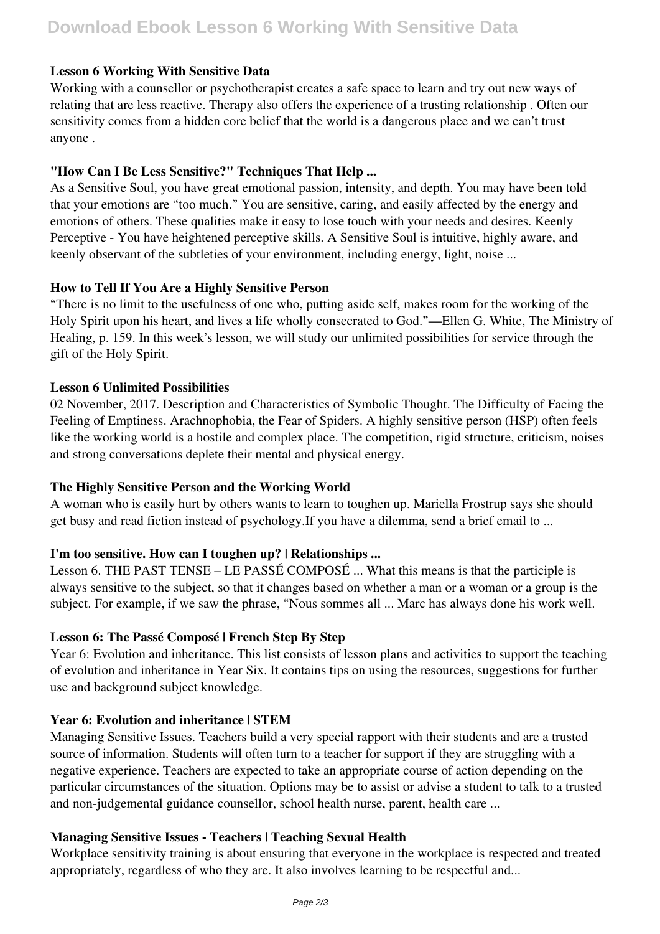# **Download Ebook Lesson 6 Working With Sensitive Data**

# **Lesson 6 Working With Sensitive Data**

Working with a counsellor or psychotherapist creates a safe space to learn and try out new ways of relating that are less reactive. Therapy also offers the experience of a trusting relationship . Often our sensitivity comes from a hidden core belief that the world is a dangerous place and we can't trust anyone .

# **"How Can I Be Less Sensitive?" Techniques That Help ...**

As a Sensitive Soul, you have great emotional passion, intensity, and depth. You may have been told that your emotions are "too much." You are sensitive, caring, and easily affected by the energy and emotions of others. These qualities make it easy to lose touch with your needs and desires. Keenly Perceptive - You have heightened perceptive skills. A Sensitive Soul is intuitive, highly aware, and keenly observant of the subtleties of your environment, including energy, light, noise ...

# **How to Tell If You Are a Highly Sensitive Person**

"There is no limit to the usefulness of one who, putting aside self, makes room for the working of the Holy Spirit upon his heart, and lives a life wholly consecrated to God."—Ellen G. White, The Ministry of Healing, p. 159. In this week's lesson, we will study our unlimited possibilities for service through the gift of the Holy Spirit.

# **Lesson 6 Unlimited Possibilities**

02 November, 2017. Description and Characteristics of Symbolic Thought. The Difficulty of Facing the Feeling of Emptiness. Arachnophobia, the Fear of Spiders. A highly sensitive person (HSP) often feels like the working world is a hostile and complex place. The competition, rigid structure, criticism, noises and strong conversations deplete their mental and physical energy.

# **The Highly Sensitive Person and the Working World**

A woman who is easily hurt by others wants to learn to toughen up. Mariella Frostrup says she should get busy and read fiction instead of psychology.If you have a dilemma, send a brief email to ...

# **I'm too sensitive. How can I toughen up? | Relationships ...**

Lesson 6. THE PAST TENSE – LE PASSÉ COMPOSÉ ... What this means is that the participle is always sensitive to the subject, so that it changes based on whether a man or a woman or a group is the subject. For example, if we saw the phrase, "Nous sommes all ... Marc has always done his work well.

#### **Lesson 6: The Passé Composé | French Step By Step**

Year 6: Evolution and inheritance. This list consists of lesson plans and activities to support the teaching of evolution and inheritance in Year Six. It contains tips on using the resources, suggestions for further use and background subject knowledge.

# **Year 6: Evolution and inheritance | STEM**

Managing Sensitive Issues. Teachers build a very special rapport with their students and are a trusted source of information. Students will often turn to a teacher for support if they are struggling with a negative experience. Teachers are expected to take an appropriate course of action depending on the particular circumstances of the situation. Options may be to assist or advise a student to talk to a trusted and non-judgemental guidance counsellor, school health nurse, parent, health care ...

#### **Managing Sensitive Issues - Teachers | Teaching Sexual Health**

Workplace sensitivity training is about ensuring that everyone in the workplace is respected and treated appropriately, regardless of who they are. It also involves learning to be respectful and...